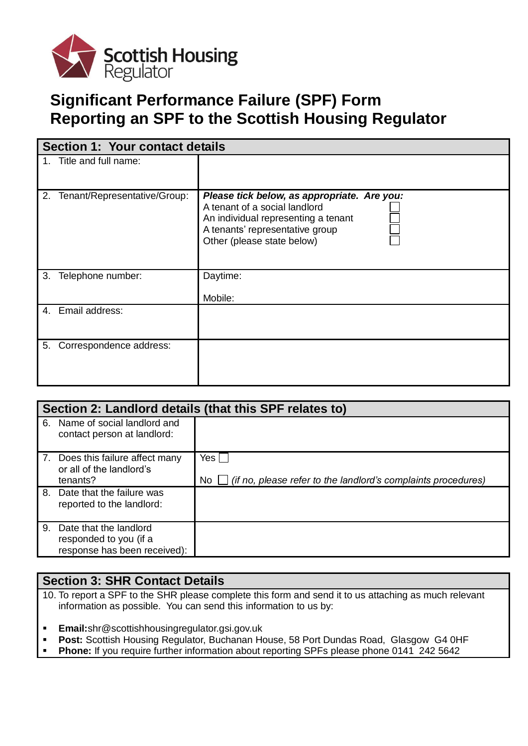

# **Significant Performance Failure (SPF) Form Reporting an SPF to the Scottish Housing Regulator**

| <b>Section 1: Your contact details</b> |                              |                                                                                                                                                                                      |  |  |
|----------------------------------------|------------------------------|--------------------------------------------------------------------------------------------------------------------------------------------------------------------------------------|--|--|
|                                        | 1. Title and full name:      |                                                                                                                                                                                      |  |  |
| 2.                                     | Tenant/Representative/Group: | Please tick below, as appropriate. Are you:<br>A tenant of a social landlord<br>An individual representing a tenant<br>A tenants' representative group<br>Other (please state below) |  |  |
| 3.                                     | Telephone number:            | Daytime:<br>Mobile:                                                                                                                                                                  |  |  |
|                                        | 4. Email address:            |                                                                                                                                                                                      |  |  |
| 5.                                     | Correspondence address:      |                                                                                                                                                                                      |  |  |

| Section 2: Landlord details (that this SPF relates to) |                                                                                     |                                                                                  |  |
|--------------------------------------------------------|-------------------------------------------------------------------------------------|----------------------------------------------------------------------------------|--|
|                                                        | 6. Name of social landlord and<br>contact person at landlord:                       |                                                                                  |  |
|                                                        | 7. Does this failure affect many<br>or all of the landlord's<br>tenants?            | Yes  <br>No $\Box$ (if no, please refer to the landlord's complaints procedures) |  |
|                                                        | 8. Date that the failure was<br>reported to the landlord:                           |                                                                                  |  |
|                                                        | 9. Date that the landlord<br>responded to you (if a<br>response has been received): |                                                                                  |  |

## **Section 3: SHR Contact Details**

- 10. To report a SPF to the SHR please complete this form and send it to us attaching as much relevant information as possible. You can send this information to us by:
- **Email:**shr@scottishhousingregulator.gsi.gov.uk
- **Post:** Scottish Housing Regulator, Buchanan House, 58 Port Dundas Road, Glasgow G4 0HF
- **Phone:** If you require further information about reporting SPFs please phone 0141 242 5642